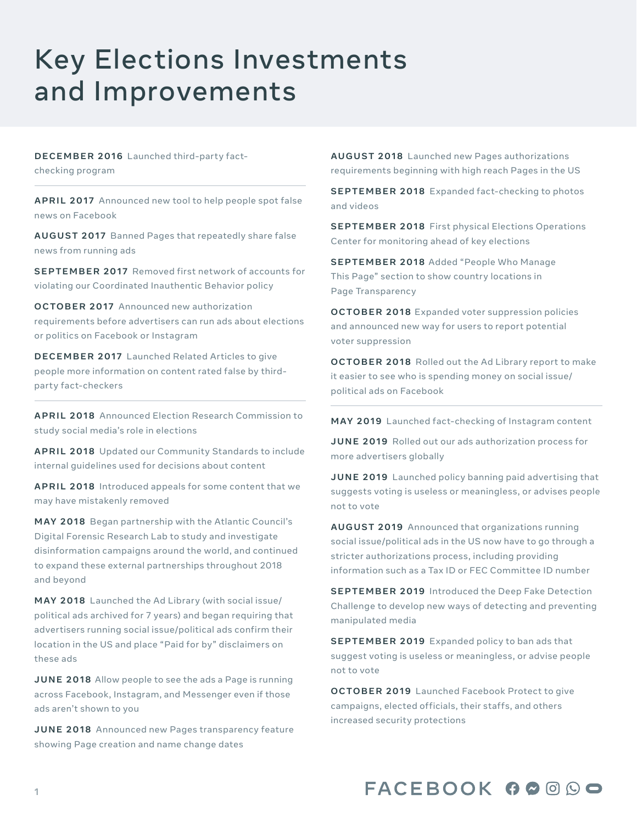## Key Elections Investments and Improvements

**[DECEMBER 2016](https://about.fb.com/news/2016/12/news-feed-fyi-addressing-hoaxes-and-fake-news/)** Launched third-party fact-

checking program

**[APRIL 2017](https://about.fb.com/news/2017/04/a-new-educational-tool-against-misinformation/)** Announced new tool to help people spot false news on Facebook

**[AUGUST 2017](https://about.fb.com/news/2017/08/blocking-ads-from-pages-that-repeatedly-share-false-news/)** Banned Pages that repeatedly share false news from running ads

**[SEPTEMBER 2017](https://about.fb.com/news/2017/09/information-operations-update/)** Removed first network of accounts for violating our Coordinated Inauthentic Behavior policy

**[OCTOBER 2017](https://about.fb.com/news/2017/10/improving-enforcement-and-transparency/)** Announced new authorization requirements before advertisers can run ads about elections or politics on Facebook or Instagram

**[DECEMBER 2017](https://about.fb.com/news/2017/12/news-feed-fyi-updates-in-our-fight-against-misinformation/)** Launched Related Articles to give people more information on content rated false by thirdparty fact-checkers

**[APRIL 2018](https://about.fb.com/news/2018/04/new-elections-initiative/)** Announced Election Research Commission to study social media's role in elections

**[APRIL 2018](https://about.fb.com/news/2018/04/comprehensive-community-standards/)** Updated our Community Standards to include internal guidelines used for decisions about content

**[APRIL 2018](https://about.fb.com/news/2018/04/comprehensive-community-standards/)** Introduced appeals for some content that we may have mistakenly removed

**[MAY 2018](https://about.fb.com/news/2018/05/announcing-new-election-partnership-with-the-atlantic-council/)** Began partnership with the Atlantic Council's Digital Forensic Research Lab to study and investigate disinformation campaigns around the world, and continued to expand these external partnerships throughout 2018 and beyond

**[MAY 2018](https://about.fb.com/news/2018/05/ads-with-political-content/)** Launched the Ad Library (with social issue/ political ads archived for 7 years) and began requiring that advertisers running social issue/political ads confirm their location in the US and place "Paid for by" disclaimers on these ads

**[JUNE 2018](https://about.fb.com/news/2018/06/transparency-for-ads-and-pages/)** Allow people to see the ads a Page is running across Facebook, Instagram, and Messenger even if those ads aren't shown to you

**[JUNE 2018](https://about.fb.com/news/2018/06/transparency-for-ads-and-pages/)** Announced new Pages transparency feature showing Page creation and name change dates

**[AUGUST 2018](https://about.fb.com/news/2018/08/shining-a-brighter-light-on-facebook-pages/)** Launched new Pages authorizations requirements beginning with high reach Pages in the US

**[SEPTEMBER 2018](https://about.fb.com/news/2018/09/expanding-fact-checking/)** Expanded fact-checking to photos and videos

**[SEPTEMBER 2018](https://about.fb.com/news/2018/10/war-room/)** First physical Elections Operations Center for monitoring ahead of key elections

**[SEPTEMBER 2018](https://www.facebook.com/business/news/new-authorization-for-pages)** Added "People Who Manage This Page" section to show country locations in Page Transparency

**[OCTOBER 2018](https://about.fb.com/news/2018/10/voter-suppression-policies/)** Expanded voter suppression policies and announced new way for users to report potential voter suppression

**[OCTOBER 2018](https://about.fb.com/news/2018/10/ad-archive-report/)** Rolled out the Ad Library report to make it easier to see who is spending money on social issue/ political ads on Facebook

**[MAY 2019](https://about.fb.com/news/2019/12/combatting-misinformation-on-instagram/)** Launched fact-checking of Instagram content

**[JUNE 2019](https://about.fb.com/news/2019/06/offering-greater-transparency/)** Rolled out our ads authorization process for more advertisers globally

**[JUNE 2019](https://about.fb.com/news/2019/10/update-on-election-integrity-efforts/)** Launched policy banning paid advertising that suggests voting is useless or meaningless, or advises people not to vote

**[AUGUST 2019](https://about.fb.com/news/2019/08/updates-to-ads-about-social-issues-elections-or-politics-in-the-us/)** Announced that organizations running social issue/political ads in the US now have to go through a stricter authorizations process, including providing information such as a Tax ID or FEC Committee ID number

**[SEPTEMBER 2019](https://deepfakedetectionchallenge.ai/)** Introduced the Deep Fake Detection Challenge to develop new ways of detecting and preventing manipulated media

**SEPTEMBER 2019** Expanded policy to ban ads that suggest voting is useless or meaningless, or advise people not to vote

**[OCTOBER 2019](https://about.fb.com/news/2019/10/update-on-election-integrity-efforts/)** Launched Facebook Protect to give campaigns, elected officials, their staffs, and others increased security protections

## FACEBOOK 00000